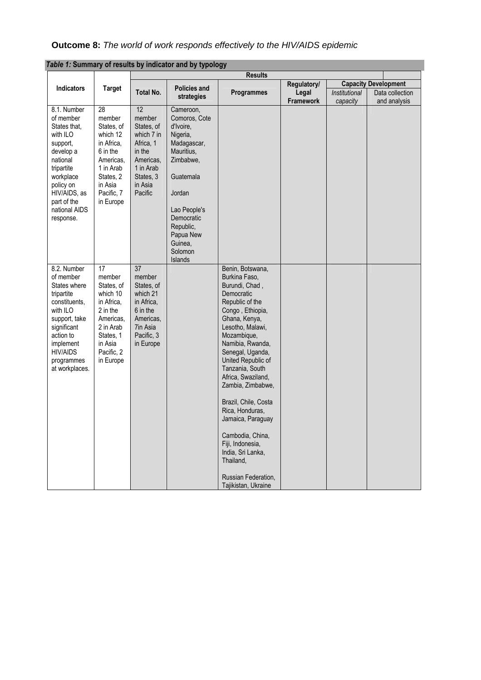| <b>Outcome 8:</b> The world of work responds effectively to the HIV/AIDS epidemic |  |
|-----------------------------------------------------------------------------------|--|
|-----------------------------------------------------------------------------------|--|

|                   |                 |                  |                        | <b>Results</b>                        |             |               |                             |
|-------------------|-----------------|------------------|------------------------|---------------------------------------|-------------|---------------|-----------------------------|
|                   |                 |                  |                        |                                       | Regulatory/ |               | <b>Capacity Development</b> |
| <b>Indicators</b> | <b>Target</b>   | <b>Total No.</b> | <b>Policies and</b>    | Programmes                            | Legal       | Institutional | Data collection             |
|                   |                 |                  | strategies             |                                       | Framework   | capacity      | and analysis                |
| 8.1. Number       | 28              | 12               | Cameroon,              |                                       |             |               |                             |
| of member         | member          | member           | Comoros, Cote          |                                       |             |               |                             |
| States that,      | States, of      | States, of       | d'Ivoire,              |                                       |             |               |                             |
| with ILO          | which 12        | which 7 in       | Nigeria,               |                                       |             |               |                             |
| support,          | in Africa,      | Africa, 1        | Madagascar,            |                                       |             |               |                             |
| develop a         | 6 in the        | in the           | Mauritius,             |                                       |             |               |                             |
| national          | Americas,       | Americas,        | Zimbabwe,              |                                       |             |               |                             |
| tripartite        | 1 in Arab       | 1 in Arab        |                        |                                       |             |               |                             |
| workplace         | States, 2       | States, 3        | Guatemala              |                                       |             |               |                             |
| policy on         | in Asia         | in Asia          |                        |                                       |             |               |                             |
| HIV/AIDS, as      | Pacific, 7      | Pacific          | Jordan                 |                                       |             |               |                             |
| part of the       | in Europe       |                  |                        |                                       |             |               |                             |
| national AIDS     |                 |                  | Lao People's           |                                       |             |               |                             |
| response.         |                 |                  | Democratic             |                                       |             |               |                             |
|                   |                 |                  | Republic,<br>Papua New |                                       |             |               |                             |
|                   |                 |                  | Guinea,                |                                       |             |               |                             |
|                   |                 |                  | Solomon                |                                       |             |               |                             |
|                   |                 |                  | Islands                |                                       |             |               |                             |
| 8.2. Number       | $\overline{17}$ | 37               |                        | Benin, Botswana,                      |             |               |                             |
| of member         | member          | member           |                        | Burkina Faso,                         |             |               |                             |
| States where      | States, of      | States, of       |                        | Burundi, Chad,                        |             |               |                             |
| tripartite        | which 10        | which 21         |                        | Democratic                            |             |               |                             |
| constituents,     | in Africa,      | in Africa,       |                        | Republic of the                       |             |               |                             |
| with ILO          | 2 in the        | 6 in the         |                        | Congo, Ethiopia,                      |             |               |                             |
| support, take     | Americas,       | Americas,        |                        | Ghana, Kenya,                         |             |               |                             |
| significant       | 2 in Arab       | 7in Asia         |                        | Lesotho, Malawi,                      |             |               |                             |
| action to         | States, 1       | Pacific, 3       |                        | Mozambique,                           |             |               |                             |
| implement         | in Asia         | in Europe        |                        | Namibia, Rwanda,                      |             |               |                             |
| <b>HIV/AIDS</b>   | Pacific, 2      |                  |                        | Senegal, Uganda,                      |             |               |                             |
| programmes        | in Europe       |                  |                        | United Republic of                    |             |               |                             |
| at workplaces.    |                 |                  |                        | Tanzania, South<br>Africa, Swaziland, |             |               |                             |
|                   |                 |                  |                        | Zambia, Zimbabwe,                     |             |               |                             |
|                   |                 |                  |                        |                                       |             |               |                             |
|                   |                 |                  |                        | Brazil, Chile, Costa                  |             |               |                             |
|                   |                 |                  |                        | Rica, Honduras,                       |             |               |                             |
|                   |                 |                  |                        | Jamaica, Paraguay                     |             |               |                             |
|                   |                 |                  |                        |                                       |             |               |                             |
|                   |                 |                  |                        | Cambodia, China,                      |             |               |                             |
|                   |                 |                  |                        | Fiji, Indonesia,                      |             |               |                             |
|                   |                 |                  |                        | India, Sri Lanka,                     |             |               |                             |
|                   |                 |                  |                        | Thailand,                             |             |               |                             |
|                   |                 |                  |                        |                                       |             |               |                             |
|                   |                 |                  |                        | Russian Federation,                   |             |               |                             |
|                   |                 |                  |                        | Tajikistan, Ukraine                   |             |               |                             |

*Table 1:* **Summary of results by indicator and by typology**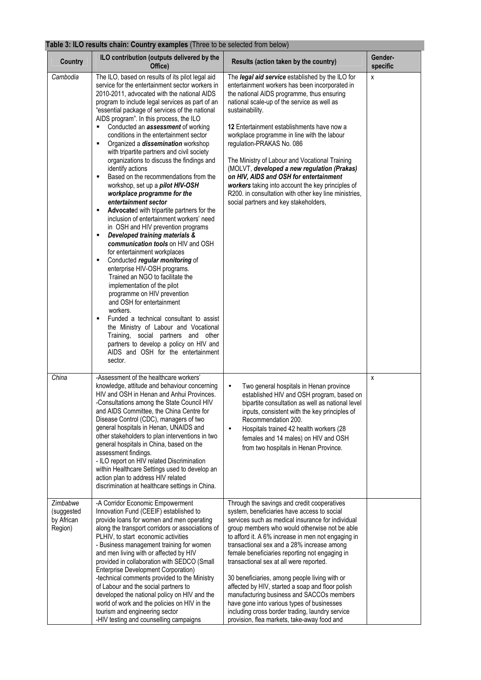## **Table 3: ILO results chain: Country examples** (Three to be selected from below)

| <b>Country</b>                                  | ILO contribution (outputs delivered by the<br>Office)                                                                                                                                                                                                                                                                                                                                                                                                                                                                                                                                                                                                                                                                                                                                                                                                                                                                                                                                                                                                                                                                                                                                                                                                                                                                                                                                                | Results (action taken by the country)                                                                                                                                                                                                                                                                                                                                                                                                                                                                                                                                                                                                                                                               | Gender-<br>specific |
|-------------------------------------------------|------------------------------------------------------------------------------------------------------------------------------------------------------------------------------------------------------------------------------------------------------------------------------------------------------------------------------------------------------------------------------------------------------------------------------------------------------------------------------------------------------------------------------------------------------------------------------------------------------------------------------------------------------------------------------------------------------------------------------------------------------------------------------------------------------------------------------------------------------------------------------------------------------------------------------------------------------------------------------------------------------------------------------------------------------------------------------------------------------------------------------------------------------------------------------------------------------------------------------------------------------------------------------------------------------------------------------------------------------------------------------------------------------|-----------------------------------------------------------------------------------------------------------------------------------------------------------------------------------------------------------------------------------------------------------------------------------------------------------------------------------------------------------------------------------------------------------------------------------------------------------------------------------------------------------------------------------------------------------------------------------------------------------------------------------------------------------------------------------------------------|---------------------|
| Cambodia                                        | The ILO, based on results of its pilot legal aid<br>service for the entertainment sector workers in<br>2010-2011, advocated with the national AIDS<br>program to include legal services as part of an<br>"essential package of services of the national<br>AIDS program". In this process, the ILO<br>Conducted an <b>assessment</b> of working<br>conditions in the entertainment sector<br>Organized a <i>dissemination</i> workshop<br>٠<br>with tripartite partners and civil society<br>organizations to discuss the findings and<br>identify actions<br>Based on the recommendations from the<br>٠<br>workshop, set up a pilot HIV-OSH<br>workplace programme for the<br>entertainment sector<br>Advocated with tripartite partners for the<br>٠<br>inclusion of entertainment workers' need<br>in OSH and HIV prevention programs<br>Developed training materials &<br>٠<br>communication tools on HIV and OSH<br>for entertainment workplaces<br>Conducted regular monitoring of<br>٠<br>enterprise HIV-OSH programs.<br>Trained an NGO to facilitate the<br>implementation of the pilot<br>programme on HIV prevention<br>and OSH for entertainment<br>workers.<br>Funded a technical consultant to assist<br>٠<br>the Ministry of Labour and Vocational<br>Training, social partners and other<br>partners to develop a policy on HIV and<br>AIDS and OSH for the entertainment<br>sector. | The legal aid service established by the ILO for<br>entertainment workers has been incorporated in<br>the national AIDS programme, thus ensuring<br>national scale-up of the service as well as<br>sustainability.<br>12 Entertainment establishments have now a<br>workplace programme in line with the labour<br>regulation-PRAKAS No. 086<br>The Ministry of Labour and Vocational Training<br>(MOLVT, developed a new regulation (Prakas)<br>on HIV, AIDS and OSH for entertainment<br>workers taking into account the key principles of<br>R200. in consultation with other key line ministries,<br>social partners and key stakeholders,                                                      | X                   |
| China                                           | -Assessment of the healthcare workers'<br>knowledge, attitude and behaviour concerning<br>HIV and OSH in Henan and Anhui Provinces.<br>-Consultations among the State Council HIV<br>and AIDS Committee, the China Centre for<br>Disease Control (CDC), managers of two<br>general hospitals in Henan, UNAIDS and<br>other stakeholders to plan interventions in two<br>general hospitals in China, based on the<br>assessment findings.<br>- ILO report on HIV related Discrimination<br>within Healthcare Settings used to develop an<br>action plan to address HIV related<br>discrimination at healthcare settings in China.                                                                                                                                                                                                                                                                                                                                                                                                                                                                                                                                                                                                                                                                                                                                                                     | Two general hospitals in Henan province<br>$\bullet$<br>established HIV and OSH program, based on<br>bipartite consultation as well as national level<br>inputs, consistent with the key principles of<br>Recommendation 200.<br>Hospitals trained 42 health workers (28<br>$\bullet$<br>females and 14 males) on HIV and OSH<br>from two hospitals in Henan Province.                                                                                                                                                                                                                                                                                                                              | X                   |
| Zimbabwe<br>(suggested<br>by African<br>Region) | -A Corridor Economic Empowerment<br>Innovation Fund (CEEIF) established to<br>provide loans for women and men operating<br>along the transport corridors or associations of<br>PLHIV, to start economic activities<br>- Business management training for women<br>and men living with or affected by HIV<br>provided in collaboration with SEDCO (Small<br>Enterprise Development Corporation)<br>-technical comments provided to the Ministry<br>of Labour and the social partners to<br>developed the national policy on HIV and the<br>world of work and the policies on HIV in the<br>tourism and engineering sector<br>-HIV testing and counselling campaigns                                                                                                                                                                                                                                                                                                                                                                                                                                                                                                                                                                                                                                                                                                                                   | Through the savings and credit cooperatives<br>system, beneficiaries have access to social<br>services such as medical insurance for individual<br>group members who would otherwise not be able<br>to afford it. A 6% increase in men not engaging in<br>transactional sex and a 28% increase among<br>female beneficiaries reporting not engaging in<br>transactional sex at all were reported.<br>30 beneficiaries, among people living with or<br>affected by HIV, started a soap and floor polish<br>manufacturing business and SACCOs members<br>have gone into various types of businesses<br>including cross border trading, laundry service<br>provision, flea markets, take-away food and |                     |